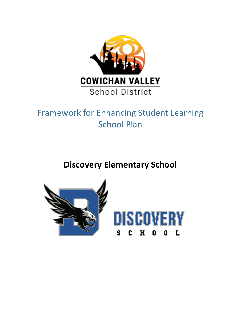

# Framework for Enhancing Student Learning School Plan

**Discovery Elementary School**

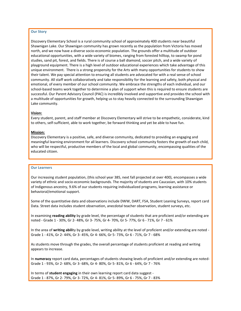### **Our Story**

Discovery Elementary School is a rural community school of approximately 400 students near beautiful Shawnigan Lake. Our Shawnigan community has grown recently as the population from Victoria has moved north, and we now have a diverse socio-economic population. The grounds offer a multitude of outdoor educational opportunities, with a wide variety of biomes, ranging from forested hilltop, to swamp for pond studies, sand pit, forest, and fields. There is of course a ball diamond, soccer pitch, and a wide variety of playground equipment. There is a high level of outdoor educational experiences which take advantage of this unique environment. There is a strong propensity for the Arts with many opportunities for students to show their talent. We pay special attention to ensuring all students are advocated for with a real sense of school community. All staff work collaboratively and take responsibility for the learning and safety, both physical and emotional, of every member of our school community. We embrace the strengths of each individual, and our school-based teams work together to determine a plan of support when this is required to ensure students are successful. Our Parent Advisory Council (PAC) is incredibly involved and supportive and provides the school with a multitude of opportunities for growth, helping us to stay heavily connected to the surrounding Shawnigan Lake community.

#### **Vision:**

Every student, parent, and staff member at Discovery Elementary will strive to be empathetic, considerate, kind to others, self-sufficient, able to work together, be forward thinking and yet be able to have fun.

#### **Mission:**

Discovery Elementary is a positive, safe, and diverse community, dedicated to providing an engaging and meaningful learning environment for all learners. Discovery school community fosters the growth of each child, who will be respectful, productive members of the local and global community, encompassing qualities of the educated citizen.

#### **Our Learners**

Our increasing student population, (this school year 385, next fall projected at over 400), encompasses a wide variety of ethnic and socio-economic backgrounds. The majority of students are Caucasian, with 10% students of Indigenous ancestry, 9.6% of our students requiring individualized programs, learning assistance or behavioral/emotional support.

Some of the quantitative data and observations include DWW, DART, FSA, Student Leaning Surveys, report card Data. Street data includes student observation, anecdotal teacher observation, student surveys, etc.

In examining **reading ability** by grade level, the percentage of students that are proficient and/or extending are noted - Grade 1 - 30%, Gr 2- 48%, Gr 3- 75%, Gr 4- 70%, Gr 5- 77%, Gr 6 - 71%, Gr 7 - 61%

In the area of **writing abili**ty by grade level, writing ability at the level of proficient and/or extending are noted - Grade 1 - 41%, Gr 2- 44%, Gr 3- 45%, Gr 4- 66%, Gr 5- 73%, Gr 6 - 71%, Gr 7 - 68%

As students move through the grades, the overall percentage of students proficient at reading and writing appears to increase.

In **numeracy** report card data, percentages of students showing levels of proficient and/or extending are noted-Grade 1 - 93%, Gr 2- 68%, Gr 3- 68%, Gr 4- 80%, Gr 5- 81%, Gr 6 - 64%, Gr 7 - 76%

In terms of **student engaging** in their own learning report card data suggest - Grade 1 - 87%, Gr 2- 79%, Gr 3- 72%, Gr 4- 81%, Gr 5- 89%, Gr 6 - 75%, Gr 7 - 83%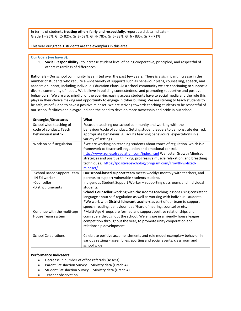In terms of students **treating others fairly and respectfully**, report card data indicate - Grade 1 - 95%, Gr 2- 82%, Gr 3- 69%, Gr 4- 78%, Gr 5- 88%, Gr 6 - 83%, Gr 7 - 71%

This year our grade 1 students are the exemplars in this area.

#### **Our Goals (we have 3):**

**1. Social Responsibility** - to increase student level of being cooperative, principled, and respectful of others regardless of differences.

**Rationale** - Our school community has shifted over the past few years. There is a significant increase in the number of students who require a wide variety of supports such as behaviour plans, counselling, speech, and academic support, including Individual Education Plans. As a school community we are continuing to support a diverse community of needs. We believe in building connectedness and promoting supportive and positive behaviours. We are also mindful of the ever-increasing access students have to social media and the role this plays in their choice making and opportunity to engage in cyber bullying. We are striving to teach students to be safe, mindful and to have a positive mindset. We are striving towards teaching students to be respectful of our school facilities and playground and the need to develop more ownership and pride in our school.

| <b>Strategies/Structures</b> | What:                                                                          |
|------------------------------|--------------------------------------------------------------------------------|
| School wide teaching of      | Focus on teaching our school community and working with the                    |
| code of conduct. Teach       | behaviour/code of conduct. Getting student leaders to demonstrate desired,     |
| Behavioural matrix           | appropriate behaviour. All adults teaching behavioural expectations in a       |
|                              | variety of settings.                                                           |
| Work on Self-Regulation      | *We are working on teaching students about zones of regulation, which is a     |
|                              | framework to foster self-regulation and emotional control.                     |
|                              | http://www.zonesofregulation.com/index.html We foster Growth Mindset           |
|                              | strategies and positive thinking, progressive muscle relaxation, and breathing |
|                              | techniques. https://positivepsychologyprogram.com/growth-vs-fixed-             |
|                              | mindset/                                                                       |
| -School Based Support Team   | Our school-based support team meets weekly/ monthly with teachers, and         |
| -IN Ed worker                | parents to support vulnerable students student.                                |
| -Counsellor                  | Indigenous Student Support Worker - supporting classrooms and individual       |
| -District itinerants         | students.                                                                      |
|                              | School Counsellor-working with classrooms teaching lessons using consistent    |
|                              | language about self-regulation as well as working with individual students.    |
|                              | *We work with District Itinerant teachers as part of our team to support       |
|                              | speech, reading, behaviour, deaf/hard of hearing, counsellor etc.              |
| Continue with the multi-age  | *Multi-Age Groups are formed and support positive relationships and            |
| House Team system            | comradery throughout the school. We engage in a friendly house league          |
|                              | competition throughout the year, to promote unity cooperation and              |
|                              | relationship development.                                                      |
|                              |                                                                                |
| <b>School Celebrations</b>   | Celebrate positive accomplishments and role model exemplary behavior in        |
|                              | various settings - assemblies, sporting and social events; classroom and       |
|                              | school wide                                                                    |

### **Performance Indicators:**

- Decrease in number of office referrals (Assess)
- Parent Satisfaction Survey Ministry data (Grade 4)
- Student Satisfaction Survey Ministry data (Grade 4)
- Teacher observation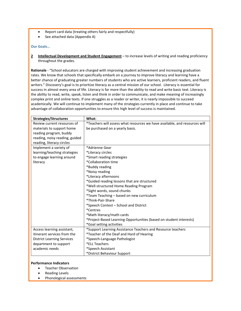- Report card data (treating others fairly and respectfully)
- See attached data (Appendix A)

## **Our Goals…**

**2 Intellectual Development and Student Engagement** – to increase levels of writing and reading proficiency throughout the grades.

**Rationale** - "School educators are charged with improving student achievement and increasing graduation rates. We know that schools that specifically embark on a journey to improve literacy and learning have a better chance of graduating greater numbers of students who are active learners, proficient readers, and fluent writers." Discovery's goal is to prioritize literacy as a central mission of our school. Literacy is essential for success in almost every area of life. Literacy is far more than the ability to read and write basic text. Literacy is the ability to read, write, speak, listen and think in order to communicate, and make meaning of increasingly complex print and online texts. If one struggles as a reader or writer, it is nearly impossible to succeed academically. We will continue to implement many of the strategies currently in place and continue to take advantage of collaboration opportunities to ensure this high level of success is maintained.

| <b>Strategies/Structures</b>      | What:                                                                      |
|-----------------------------------|----------------------------------------------------------------------------|
| Review current resources of       | *Teachers will assess what resources we have available, and resources will |
| materials to support home         | be purchased on a yearly basis.                                            |
| reading program, buddy            |                                                                            |
| reading, noisy reading, guided    |                                                                            |
| reading, literacy circles         |                                                                            |
| Implement a variety of            | *Adrienne Gear                                                             |
| learning/teaching strategies      | *Literacy circles                                                          |
| to engage learning around         | *Smart reading strategies                                                  |
| literacy                          | *Collaboration time                                                        |
|                                   | *Buddy reading                                                             |
|                                   | *Noisy reading                                                             |
|                                   | *Literacy afternoons                                                       |
|                                   | *Guided reading lessons that are structured                                |
|                                   | *Well-structured Home Reading Program                                      |
|                                   | *Sight words, sound chunks                                                 |
|                                   | *Team Teaching - based on new curriculum                                   |
|                                   | *Think-Pair-Share                                                          |
|                                   | *Speech Contest - School and District                                      |
|                                   | <i>*Centres</i>                                                            |
|                                   | *Math literacy/math cards                                                  |
|                                   | *Project-Based Learning Opportunities (based on student interests)         |
|                                   | *Goal setting activities                                                   |
| Access learning assistant,        | *Support Learning Assistance Teachers and Resource teachers                |
| itinerant services from the       | *Teacher of the Deaf and Hard of Hearing                                   |
| <b>District Learning Services</b> | *Speech-Language Pathologist                                               |
| department to support             | *ELL Teachers                                                              |
| academic needs                    | *Speech Assistant                                                          |
|                                   | *District Behaviour Support                                                |

### **Performance Indicators**

- **•** Teacher Observation
- Reading Levels
- Phonological assessments